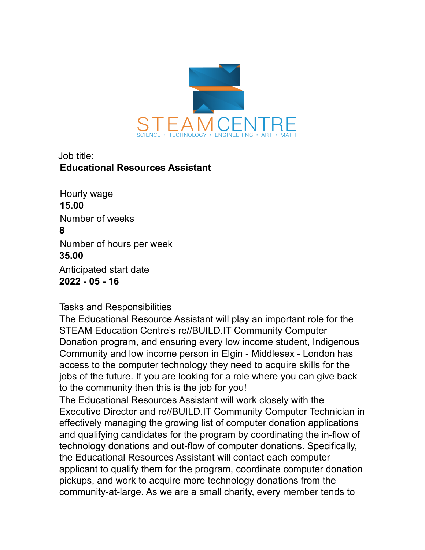

## Job title: **Educational Resources Assistant**

Hourly wage **15.00** Number of weeks **8** Number of hours per week **35.00** Anticipated start date **2022 - 05 - 16**

## Tasks and Responsibilities

The Educational Resource Assistant will play an important role for the STEAM Education Centre's re//BUILD.IT Community Computer Donation program, and ensuring every low income student, Indigenous Community and low income person in Elgin - Middlesex - London has access to the computer technology they need to acquire skills for the jobs of the future. If you are looking for a role where you can give back to the community then this is the job for you!

The Educational Resources Assistant will work closely with the Executive Director and re//BUILD.IT Community Computer Technician in effectively managing the growing list of computer donation applications and qualifying candidates for the program by coordinating the in-flow of technology donations and out-flow of computer donations. Specifically, the Educational Resources Assistant will contact each computer applicant to qualify them for the program, coordinate computer donation pickups, and work to acquire more technology donations from the community-at-large. As we are a small charity, every member tends to